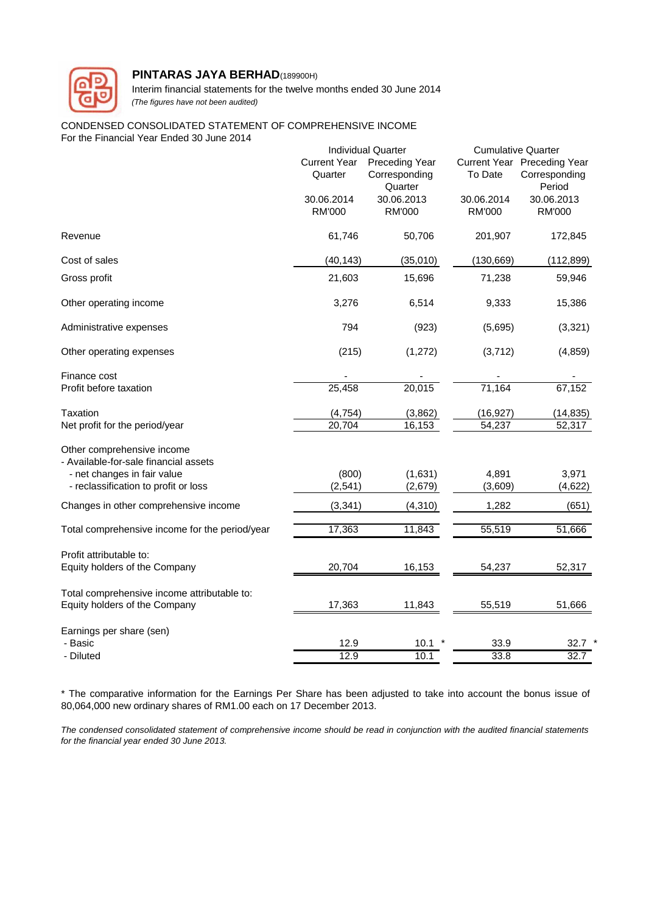

Interim financial statements for the twelve months ended 30 June 2014 *(The figures have not been audited)*

#### CONDENSED CONSOLIDATED STATEMENT OF COMPREHENSIVE INCOME For the Financial Year Ended 30 June 2014

|                                                                                                                                            |                                | <b>Individual Quarter</b>                         |                             | <b>Cumulative Quarter</b>                              |  |  |
|--------------------------------------------------------------------------------------------------------------------------------------------|--------------------------------|---------------------------------------------------|-----------------------------|--------------------------------------------------------|--|--|
|                                                                                                                                            | <b>Current Year</b><br>Quarter | <b>Preceding Year</b><br>Corresponding<br>Quarter | To Date                     | Current Year Preceding Year<br>Corresponding<br>Period |  |  |
|                                                                                                                                            | 30.06.2014<br><b>RM'000</b>    | 30.06.2013<br><b>RM'000</b>                       | 30.06.2014<br><b>RM'000</b> | 30.06.2013<br><b>RM'000</b>                            |  |  |
| Revenue                                                                                                                                    | 61,746                         | 50,706                                            | 201,907                     | 172,845                                                |  |  |
| Cost of sales                                                                                                                              | (40, 143)                      | (35,010)                                          | (130, 669)                  | (112, 899)                                             |  |  |
| Gross profit                                                                                                                               | 21,603                         | 15,696                                            | 71,238                      | 59,946                                                 |  |  |
| Other operating income                                                                                                                     | 3,276                          | 6,514                                             | 9,333                       | 15,386                                                 |  |  |
| Administrative expenses                                                                                                                    | 794                            | (923)                                             | (5,695)                     | (3,321)                                                |  |  |
| Other operating expenses                                                                                                                   | (215)                          | (1, 272)                                          | (3,712)                     | (4, 859)                                               |  |  |
| Finance cost<br>Profit before taxation                                                                                                     | 25,458                         | 20,015                                            | 71,164                      | 67,152                                                 |  |  |
| Taxation<br>Net profit for the period/year                                                                                                 | (4, 754)<br>20,704             | (3,862)<br>16,153                                 | (16, 927)<br>54,237         | (14, 835)<br>52,317                                    |  |  |
| Other comprehensive income<br>- Available-for-sale financial assets<br>- net changes in fair value<br>- reclassification to profit or loss | (800)<br>(2, 541)              | (1,631)<br>(2,679)                                | 4,891<br>(3,609)            | 3,971<br>(4,622)                                       |  |  |
| Changes in other comprehensive income                                                                                                      | (3, 341)                       | (4, 310)                                          | 1,282                       | (651)                                                  |  |  |
| Total comprehensive income for the period/year                                                                                             | 17,363                         | 11,843                                            | 55,519                      | 51,666                                                 |  |  |
| Profit attributable to:<br>Equity holders of the Company                                                                                   | 20,704                         | 16,153                                            | 54,237                      | 52,317                                                 |  |  |
| Total comprehensive income attributable to:<br>Equity holders of the Company                                                               | 17,363                         | 11,843                                            | 55,519                      | 51,666                                                 |  |  |
| Earnings per share (sen)<br>- Basic<br>- Diluted                                                                                           | 12.9<br>12.9                   | 10.1<br>10.1                                      | 33.9<br>33.8                | 32.7<br>32.7                                           |  |  |

\* The comparative information for the Earnings Per Share has been adjusted to take into account the bonus issue of 80,064,000 new ordinary shares of RM1.00 each on 17 December 2013.

The condensed consolidated statement of comprehensive income should be read in conjunction with the audited financial statements *for the financial year ended 30 June 2013.*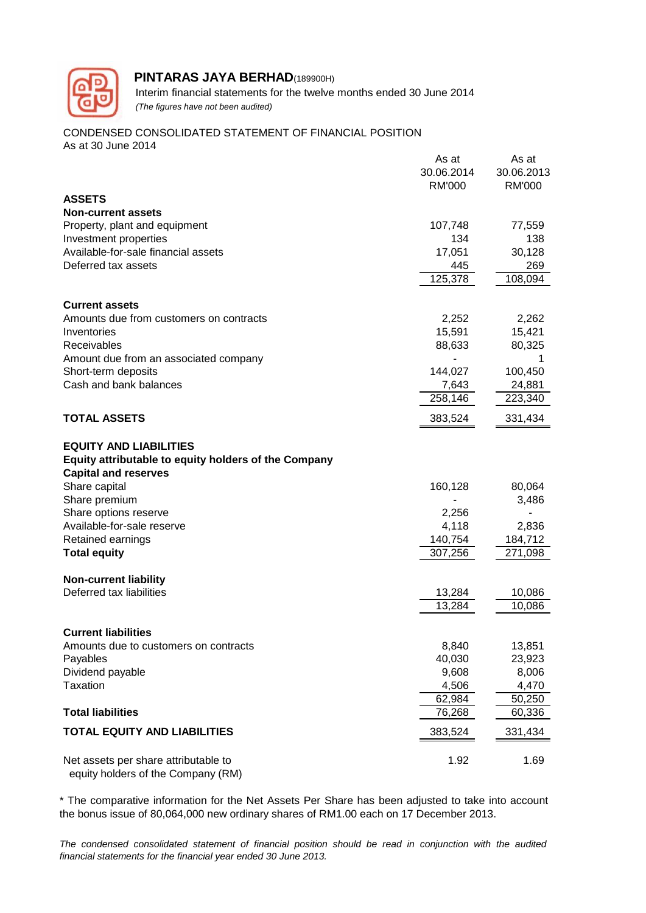

 Interim financial statements for the twelve months ended 30 June 2014  *(The figures have not been audited)*

#### CONDENSED CONSOLIDATED STATEMENT OF FINANCIAL POSITION As at 30 June 2014

|                                                                            | As at         | As at         |
|----------------------------------------------------------------------------|---------------|---------------|
|                                                                            | 30.06.2014    | 30.06.2013    |
|                                                                            | <b>RM'000</b> | <b>RM'000</b> |
| <b>ASSETS</b>                                                              |               |               |
| <b>Non-current assets</b>                                                  |               |               |
| Property, plant and equipment                                              | 107,748       | 77,559        |
| Investment properties                                                      | 134           | 138           |
| Available-for-sale financial assets                                        | 17,051        | 30,128        |
| Deferred tax assets                                                        | 445           | 269           |
|                                                                            | 125,378       | 108,094       |
| <b>Current assets</b>                                                      |               |               |
| Amounts due from customers on contracts                                    | 2,252         | 2,262         |
| Inventories                                                                | 15,591        | 15,421        |
| Receivables                                                                | 88,633        | 80,325        |
| Amount due from an associated company                                      |               |               |
| Short-term deposits                                                        | 144,027       | 100,450       |
| Cash and bank balances                                                     | 7,643         | 24,881        |
|                                                                            | 258,146       | 223,340       |
| <b>TOTAL ASSETS</b>                                                        | 383,524       | 331,434       |
|                                                                            |               |               |
| <b>EQUITY AND LIABILITIES</b>                                              |               |               |
| Equity attributable to equity holders of the Company                       |               |               |
| <b>Capital and reserves</b>                                                |               |               |
| Share capital                                                              | 160,128       | 80,064        |
| Share premium                                                              |               | 3,486         |
| Share options reserve                                                      | 2,256         |               |
| Available-for-sale reserve                                                 | 4,118         | 2,836         |
| Retained earnings                                                          | 140,754       | 184,712       |
| <b>Total equity</b>                                                        | 307,256       | 271,098       |
| <b>Non-current liability</b>                                               |               |               |
| Deferred tax liabilities                                                   | 13,284        | 10,086        |
|                                                                            | 13,284        | 10,086        |
| <b>Current liabilities</b>                                                 |               |               |
| Amounts due to customers on contracts                                      | 8,840         | 13,851        |
| Payables                                                                   | 40,030        | 23,923        |
| Dividend payable                                                           | 9,608         | 8,006         |
| Taxation                                                                   | 4,506         | 4,470         |
|                                                                            | 62,984        | 50,250        |
| <b>Total liabilities</b>                                                   | 76,268        | 60,336        |
| <b>TOTAL EQUITY AND LIABILITIES</b>                                        | 383,524       | 331,434       |
|                                                                            |               |               |
| Net assets per share attributable to<br>equity holders of the Company (RM) | 1.92          | 1.69          |

\* The comparative information for the Net Assets Per Share has been adjusted to take into account the bonus issue of 80,064,000 new ordinary shares of RM1.00 each on 17 December 2013.

*The condensed consolidated statement of financial position should be read in conjunction with the audited financial statements for the financial year ended 30 June 2013.*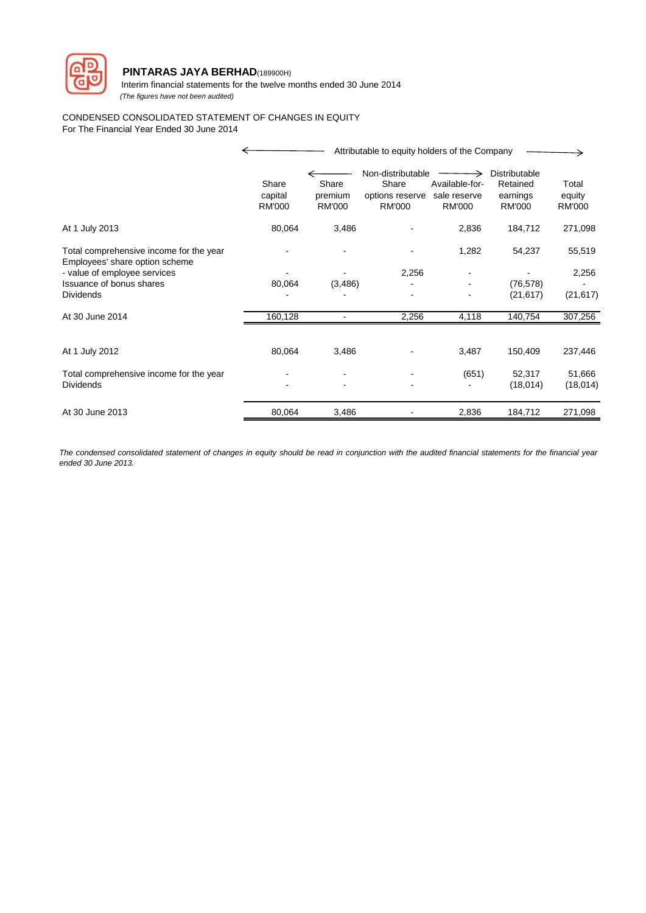

 Interim financial statements for the twelve months ended 30 June 2014  *(The figures have not been audited)*

#### CONDENSED CONSOLIDATED STATEMENT OF CHANGES IN EQUITY For The Financial Year Ended 30 June 2014

|                                                                           |                                   |                                   | Attributable to equity holders of the Company                  |                                                 |                                                        |                                  |
|---------------------------------------------------------------------------|-----------------------------------|-----------------------------------|----------------------------------------------------------------|-------------------------------------------------|--------------------------------------------------------|----------------------------------|
|                                                                           | Share<br>capital<br><b>RM'000</b> | Share<br>premium<br><b>RM'000</b> | Non-distributable<br>Share<br>options reserve<br><b>RM'000</b> | Available-for-<br>sale reserve<br><b>RM'000</b> | Distributable<br>Retained<br>earnings<br><b>RM'000</b> | Total<br>equity<br><b>RM'000</b> |
| At 1 July 2013                                                            | 80,064                            | 3,486                             |                                                                | 2,836                                           | 184,712                                                | 271,098                          |
| Total comprehensive income for the year<br>Employees' share option scheme |                                   |                                   |                                                                | 1,282                                           | 54,237                                                 | 55,519                           |
| - value of employee services                                              |                                   |                                   | 2,256                                                          |                                                 |                                                        | 2,256                            |
| Issuance of bonus shares                                                  | 80,064                            | (3, 486)                          |                                                                |                                                 | (76, 578)                                              |                                  |
| <b>Dividends</b>                                                          |                                   |                                   |                                                                |                                                 | (21, 617)                                              | (21, 617)                        |
| At 30 June 2014                                                           | 160,128                           |                                   | 2,256                                                          | 4,118                                           | 140,754                                                | 307,256                          |
| At 1 July 2012                                                            | 80,064                            | 3,486                             |                                                                | 3,487                                           | 150,409                                                | 237,446                          |
| Total comprehensive income for the year<br><b>Dividends</b>               |                                   |                                   |                                                                | (651)                                           | 52,317<br>(18,014)                                     | 51,666<br>(18,014)               |
| At 30 June 2013                                                           | 80,064                            | 3,486                             |                                                                | 2,836                                           | 184,712                                                | 271,098                          |

The condensed consolidated statement of changes in equity should be read in conjunction with the audited financial statements for the financial year *ended 30 June 2013.*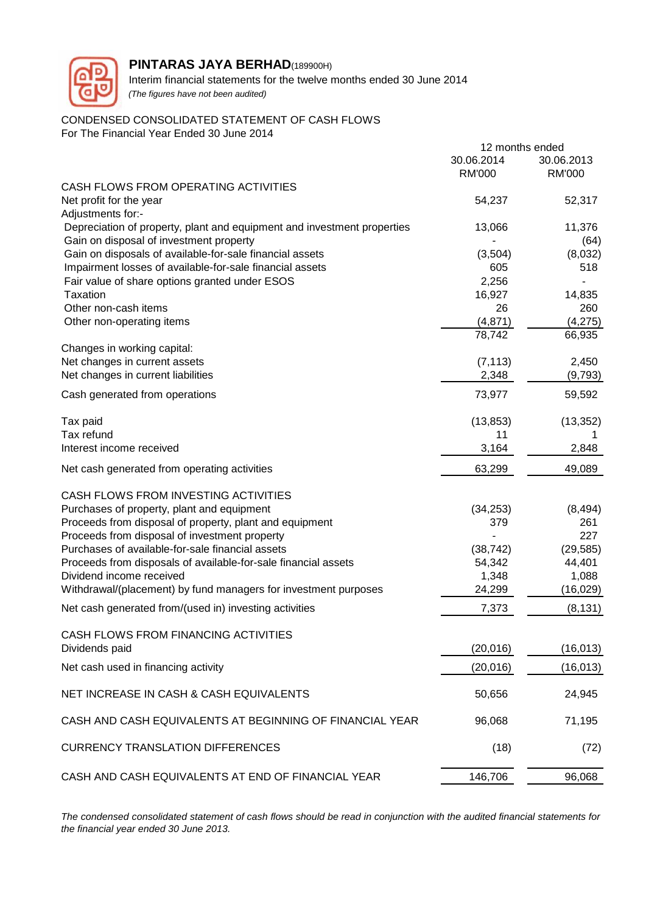

Interim financial statements for the twelve months ended 30 June 2014 *(The figures have not been audited)*

# CONDENSED CONSOLIDATED STATEMENT OF CASH FLOWS

For The Financial Year Ended 30 June 2014

|                                                                                                                    | 12 months ended |                |
|--------------------------------------------------------------------------------------------------------------------|-----------------|----------------|
|                                                                                                                    | 30.06.2014      | 30.06.2013     |
|                                                                                                                    | <b>RM'000</b>   | <b>RM'000</b>  |
| CASH FLOWS FROM OPERATING ACTIVITIES                                                                               |                 |                |
| Net profit for the year<br>Adjustments for:-                                                                       | 54,237          | 52,317         |
| Depreciation of property, plant and equipment and investment properties<br>Gain on disposal of investment property | 13,066          | 11,376<br>(64) |
| Gain on disposals of available-for-sale financial assets                                                           | (3,504)         | (8,032)        |
| Impairment losses of available-for-sale financial assets                                                           | 605             | 518            |
| Fair value of share options granted under ESOS                                                                     | 2,256           |                |
| Taxation                                                                                                           | 16,927          | 14,835         |
| Other non-cash items                                                                                               | 26              | 260            |
| Other non-operating items                                                                                          | (4,871)         | (4,275)        |
|                                                                                                                    | 78,742          | 66,935         |
| Changes in working capital:                                                                                        |                 |                |
| Net changes in current assets                                                                                      | (7, 113)        | 2,450          |
| Net changes in current liabilities                                                                                 | 2,348           | (9,793)        |
| Cash generated from operations                                                                                     | 73,977          | 59,592         |
| Tax paid                                                                                                           | (13, 853)       | (13, 352)      |
| Tax refund                                                                                                         | 11              |                |
| Interest income received                                                                                           | 3,164           | 2,848          |
| Net cash generated from operating activities                                                                       | 63,299          | 49,089         |
| CASH FLOWS FROM INVESTING ACTIVITIES                                                                               |                 |                |
| Purchases of property, plant and equipment                                                                         | (34, 253)       | (8, 494)       |
| Proceeds from disposal of property, plant and equipment                                                            | 379             | 261            |
| Proceeds from disposal of investment property                                                                      |                 | 227            |
| Purchases of available-for-sale financial assets                                                                   | (38, 742)       | (29, 585)      |
| Proceeds from disposals of available-for-sale financial assets                                                     | 54,342          | 44,401         |
| Dividend income received                                                                                           | 1,348           | 1,088          |
| Withdrawal/(placement) by fund managers for investment purposes                                                    | 24,299          | (16, 029)      |
| Net cash generated from/(used in) investing activities                                                             | 7,373           | (8, 131)       |
| CASH FLOWS FROM FINANCING ACTIVITIES                                                                               |                 |                |
| Dividends paid                                                                                                     | (20, 016)       | (16, 013)      |
| Net cash used in financing activity                                                                                | (20, 016)       | (16, 013)      |
| NET INCREASE IN CASH & CASH EQUIVALENTS                                                                            | 50,656          | 24,945         |
| CASH AND CASH EQUIVALENTS AT BEGINNING OF FINANCIAL YEAR                                                           | 96,068          | 71,195         |
| <b>CURRENCY TRANSLATION DIFFERENCES</b>                                                                            | (18)            | (72)           |
| CASH AND CASH EQUIVALENTS AT END OF FINANCIAL YEAR                                                                 | 146,706         | 96,068         |
|                                                                                                                    |                 |                |

The condensed consolidated statement of cash flows should be read in conjunction with the audited financial statements for *the financial year ended 30 June 2013.*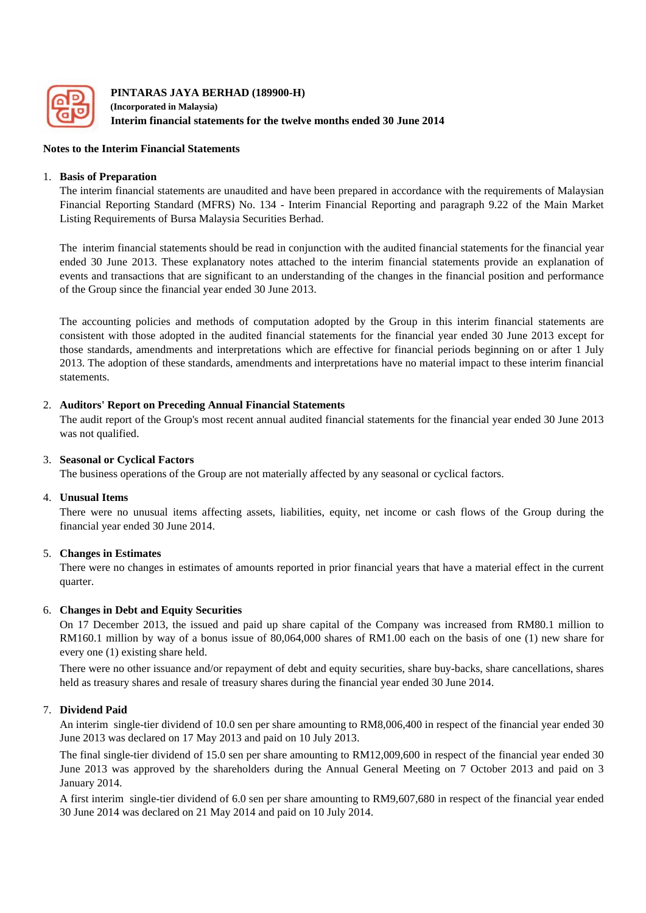

**PINTARAS JAYA BERHAD (189900-H) (Incorporated in Malaysia) Interim financial statements for the twelve months ended 30 June 2014**

### **Notes to the Interim Financial Statements**

### 1. **Basis of Preparation**

The interim financial statements are unaudited and have been prepared in accordance with the requirements of Malaysian Financial Reporting Standard (MFRS) No. 134 - Interim Financial Reporting and paragraph 9.22 of the Main Market Listing Requirements of Bursa Malaysia Securities Berhad.

The interim financial statements should be read in conjunction with the audited financial statements for the financial year ended 30 June 2013. These explanatory notes attached to the interim financial statements provide an explanation of events and transactions that are significant to an understanding of the changes in the financial position and performance of the Group since the financial year ended 30 June 2013.

The accounting policies and methods of computation adopted by the Group in this interim financial statements are consistent with those adopted in the audited financial statements for the financial year ended 30 June 2013 except for those standards, amendments and interpretations which are effective for financial periods beginning on or after 1 July 2013. The adoption of these standards, amendments and interpretations have no material impact to these interim financial statements.

### 2. **Auditors' Report on Preceding Annual Financial Statements**

The audit report of the Group's most recent annual audited financial statements for the financial year ended 30 June 2013 was not qualified.

### 3. **Seasonal or Cyclical Factors**

The business operations of the Group are not materially affected by any seasonal or cyclical factors.

#### 4. **Unusual Items**

There were no unusual items affecting assets, liabilities, equity, net income or cash flows of the Group during the financial year ended 30 June 2014.

### 5. **Changes in Estimates**

There were no changes in estimates of amounts reported in prior financial years that have a material effect in the current quarter.

### 6. **Changes in Debt and Equity Securities**

On 17 December 2013, the issued and paid up share capital of the Company was increased from RM80.1 million to RM160.1 million by way of a bonus issue of 80,064,000 shares of RM1.00 each on the basis of one (1) new share for every one (1) existing share held.

There were no other issuance and/or repayment of debt and equity securities, share buy-backs, share cancellations, shares held as treasury shares and resale of treasury shares during the financial year ended 30 June 2014.

### 7. **Dividend Paid**

An interim single-tier dividend of 10.0 sen per share amounting to RM8,006,400 in respect of the financial year ended 30 June 2013 was declared on 17 May 2013 and paid on 10 July 2013.

The final single-tier dividend of 15.0 sen per share amounting to RM12,009,600 in respect of the financial year ended 30 June 2013 was approved by the shareholders during the Annual General Meeting on 7 October 2013 and paid on 3 January 2014.

A first interim single-tier dividend of 6.0 sen per share amounting to RM9,607,680 in respect of the financial year ended 30 June 2014 was declared on 21 May 2014 and paid on 10 July 2014.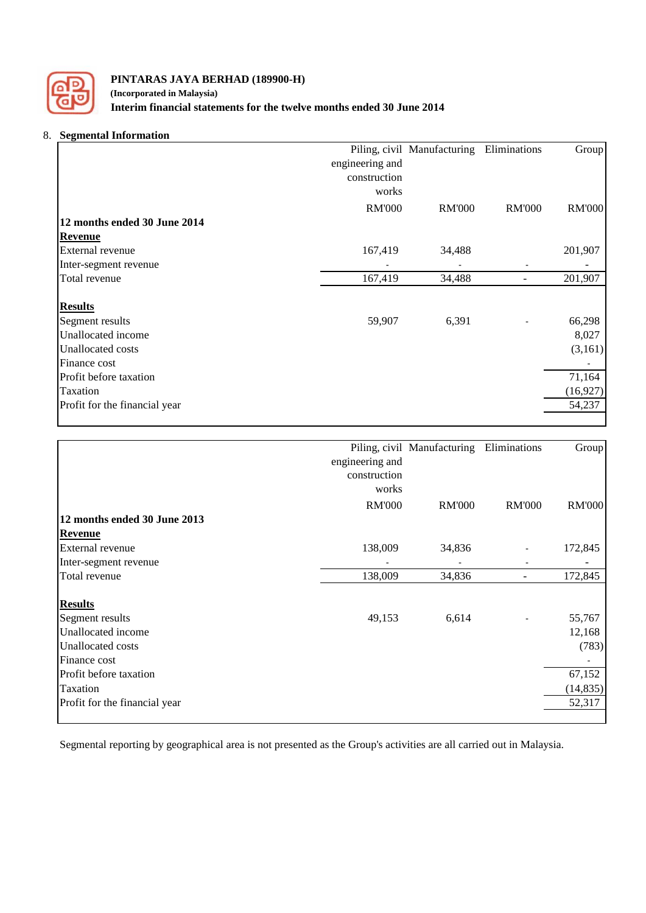

# **PINTARAS JAYA BERHAD (189900-H) (Incorporated in Malaysia) Interim financial statements for the twelve months ended 30 June 2014**

# 8. **Segmental Information**

|                               |                 | Piling, civil Manufacturing | Eliminations  | Group         |
|-------------------------------|-----------------|-----------------------------|---------------|---------------|
|                               | engineering and |                             |               |               |
|                               | construction    |                             |               |               |
|                               | works           |                             |               |               |
|                               | <b>RM'000</b>   | <b>RM'000</b>               | <b>RM'000</b> | <b>RM'000</b> |
| 12 months ended 30 June 2014  |                 |                             |               |               |
| <b>Revenue</b>                |                 |                             |               |               |
| External revenue              | 167,419         | 34,488                      |               | 201,907       |
| Inter-segment revenue         |                 |                             |               |               |
| Total revenue                 | 167,419         | 34,488                      |               | 201,907       |
| <b>Results</b>                |                 |                             |               |               |
| Segment results               | 59,907          | 6,391                       |               | 66,298        |
| Unallocated income            |                 |                             |               | 8,027         |
| <b>Unallocated costs</b>      |                 |                             |               | (3,161)       |
| Finance cost                  |                 |                             |               |               |
| Profit before taxation        |                 |                             |               | 71,164        |
| Taxation                      |                 |                             |               | (16, 927)     |
| Profit for the financial year |                 |                             |               | 54,237        |

|                               |                 | Piling, civil Manufacturing | Eliminations  | Group         |
|-------------------------------|-----------------|-----------------------------|---------------|---------------|
|                               | engineering and |                             |               |               |
|                               |                 |                             |               |               |
|                               | construction    |                             |               |               |
|                               | works           |                             |               |               |
|                               | <b>RM'000</b>   | <b>RM'000</b>               | <b>RM'000</b> | <b>RM'000</b> |
| 12 months ended 30 June 2013  |                 |                             |               |               |
| <b>Revenue</b>                |                 |                             |               |               |
| External revenue              | 138,009         | 34,836                      |               | 172,845       |
| Inter-segment revenue         |                 |                             |               |               |
| Total revenue                 | 138,009         | 34,836                      |               | 172,845       |
| <b>Results</b>                |                 |                             |               |               |
| Segment results               | 49,153          | 6,614                       |               | 55,767        |
| Unallocated income            |                 |                             |               | 12,168        |
| <b>Unallocated costs</b>      |                 |                             |               | (783)         |
| Finance cost                  |                 |                             |               |               |
| Profit before taxation        |                 |                             |               | 67,152        |
| Taxation                      |                 |                             |               | (14, 835)     |
| Profit for the financial year |                 |                             |               | 52,317        |
|                               |                 |                             |               |               |

Segmental reporting by geographical area is not presented as the Group's activities are all carried out in Malaysia.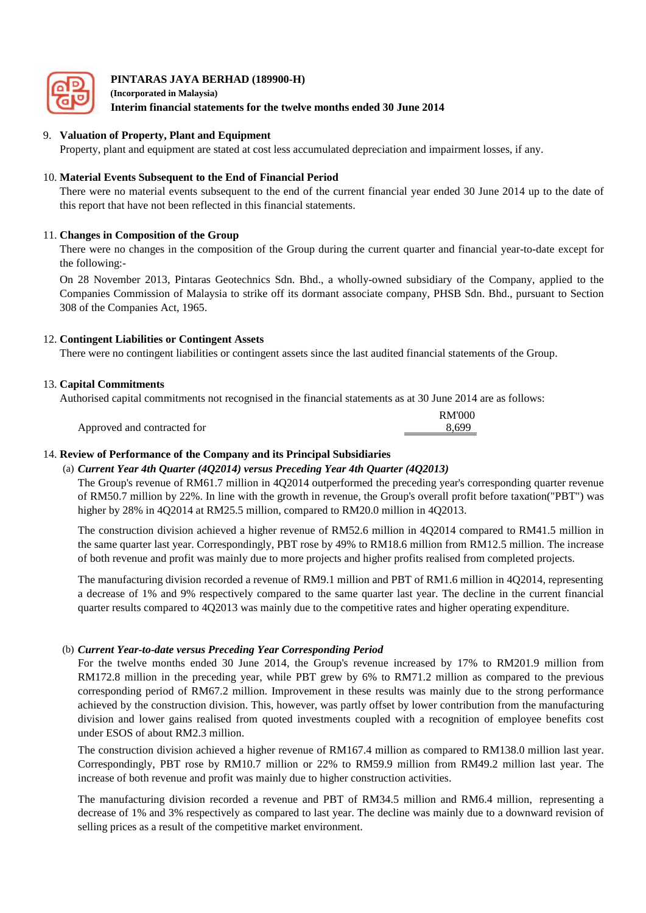

**(Incorporated in Malaysia) Interim financial statements for the twelve months ended 30 June 2014**

#### 9. **Valuation of Property, Plant and Equipment**

Property, plant and equipment are stated at cost less accumulated depreciation and impairment losses, if any.

### 10. **Material Events Subsequent to the End of Financial Period**

There were no material events subsequent to the end of the current financial year ended 30 June 2014 up to the date of this report that have not been reflected in this financial statements.

### 11. **Changes in Composition of the Group**

There were no changes in the composition of the Group during the current quarter and financial year-to-date except for the following:-

On 28 November 2013, Pintaras Geotechnics Sdn. Bhd., a wholly-owned subsidiary of the Company, applied to the Companies Commission of Malaysia to strike off its dormant associate company, PHSB Sdn. Bhd., pursuant to Section 308 of the Companies Act, 1965.

### 12. **Contingent Liabilities or Contingent Assets**

There were no contingent liabilities or contingent assets since the last audited financial statements of the Group.

### 13. **Capital Commitments**

Authorised capital commitments not recognised in the financial statements as at 30 June 2014 are as follows:

|                             | RM'000 |
|-----------------------------|--------|
| Approved and contracted for | 8.699  |

### 14. **Review of Performance of the Company and its Principal Subsidiaries**

#### (a) *Current Year 4th Quarter (4Q2014) versus Preceding Year 4th Quarter (4Q2013)*

The Group's revenue of RM61.7 million in 4Q2014 outperformed the preceding year's corresponding quarter revenue of RM50.7 million by 22%. In line with the growth in revenue, the Group's overall profit before taxation("PBT") was higher by 28% in 4Q2014 at RM25.5 million, compared to RM20.0 million in 4Q2013.

The construction division achieved a higher revenue of RM52.6 million in 4Q2014 compared to RM41.5 million in the same quarter last year. Correspondingly, PBT rose by 49% to RM18.6 million from RM12.5 million. The increase of both revenue and profit was mainly due to more projects and higher profits realised from completed projects.

The manufacturing division recorded a revenue of RM9.1 million and PBT of RM1.6 million in 4Q2014, representing a decrease of 1% and 9% respectively compared to the same quarter last year. The decline in the current financial quarter results compared to 4Q2013 was mainly due to the competitive rates and higher operating expenditure.

### (b) *Current Year-to-date versus Preceding Year Corresponding Period*

For the twelve months ended 30 June 2014, the Group's revenue increased by 17% to RM201.9 million from RM172.8 million in the preceding year, while PBT grew by 6% to RM71.2 million as compared to the previous corresponding period of RM67.2 million. Improvement in these results was mainly due to the strong performance achieved by the construction division. This, however, was partly offset by lower contribution from the manufacturing division and lower gains realised from quoted investments coupled with a recognition of employee benefits cost under ESOS of about RM2.3 million.

The construction division achieved a higher revenue of RM167.4 million as compared to RM138.0 million last year. Correspondingly, PBT rose by RM10.7 million or 22% to RM59.9 million from RM49.2 million last year. The increase of both revenue and profit was mainly due to higher construction activities.

The manufacturing division recorded a revenue and PBT of RM34.5 million and RM6.4 million, representing a decrease of 1% and 3% respectively as compared to last year. The decline was mainly due to a downward revision of selling prices as a result of the competitive market environment.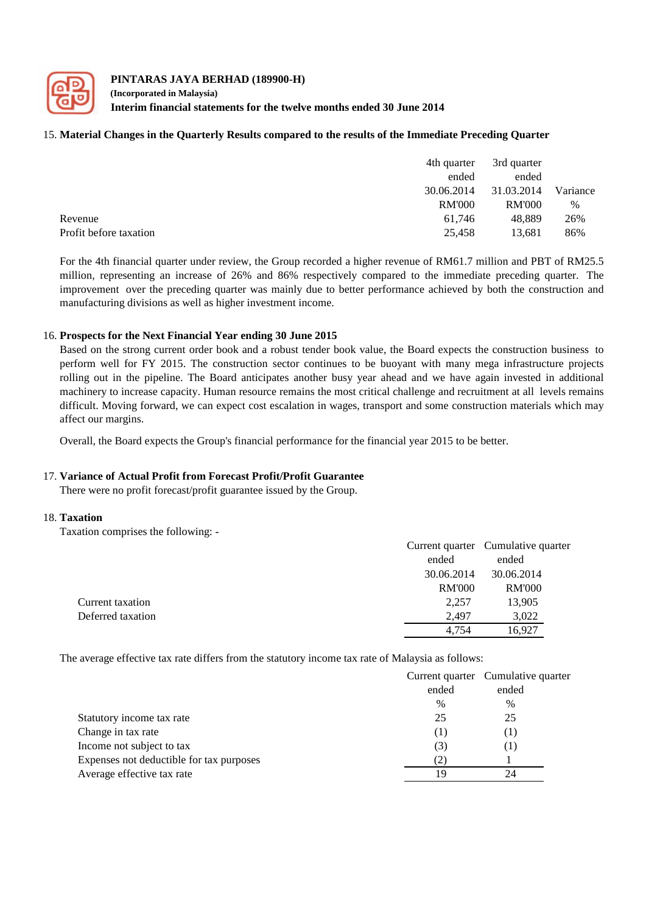

#### **PINTARAS JAYA BERHAD (189900-H) (Incorporated in Malaysia) Interim financial statements for the twelve months ended 30 June 2014**

### 15. **Material Changes in the Quarterly Results compared to the results of the Immediate Preceding Quarter**

|                        | 4th quarter   | 3rd quarter   |          |
|------------------------|---------------|---------------|----------|
|                        | ended         | ended         |          |
|                        | 30.06.2014    | 31.03.2014    | Variance |
|                        | <b>RM'000</b> | <b>RM'000</b> | $\%$     |
| Revenue                | 61.746        | 48.889        | 26%      |
| Profit before taxation | 25.458        | 13.681        | 86%      |

For the 4th financial quarter under review, the Group recorded a higher revenue of RM61.7 million and PBT of RM25.5 million, representing an increase of 26% and 86% respectively compared to the immediate preceding quarter. The improvement over the preceding quarter was mainly due to better performance achieved by both the construction and manufacturing divisions as well as higher investment income.

#### 16. **Prospects for the Next Financial Year ending 30 June 2015**

Based on the strong current order book and a robust tender book value, the Board expects the construction business to perform well for FY 2015. The construction sector continues to be buoyant with many mega infrastructure projects rolling out in the pipeline. The Board anticipates another busy year ahead and we have again invested in additional machinery to increase capacity. Human resource remains the most critical challenge and recruitment at all levels remains difficult. Moving forward, we can expect cost escalation in wages, transport and some construction materials which may affect our margins.

Overall, the Board expects the Group's financial performance for the financial year 2015 to be better.

#### 17. **Variance of Actual Profit from Forecast Profit/Profit Guarantee**

There were no profit forecast/profit guarantee issued by the Group.

#### 18. **Taxation**

Taxation comprises the following: -

|                   |               | Current quarter Cumulative quarter |
|-------------------|---------------|------------------------------------|
|                   | ended         | ended                              |
|                   | 30.06.2014    | 30.06.2014                         |
|                   | <b>RM'000</b> | <b>RM'000</b>                      |
| Current taxation  | 2,257         | 13,905                             |
| Deferred taxation | 2.497         | 3,022                              |
|                   | 4.754         | 16.927                             |
|                   |               |                                    |

The average effective tax rate differs from the statutory income tax rate of Malaysia as follows:

|                                          |                | Current quarter Cumulative quarter |
|------------------------------------------|----------------|------------------------------------|
|                                          | ended          | ended                              |
|                                          | $\%$           | $\%$                               |
| Statutory income tax rate                | 25             | 25                                 |
| Change in tax rate                       | Т              | $\left( \,1\,\right)$              |
| Income not subject to tax                | (3)            | $\Box$                             |
| Expenses not deductible for tax purposes | $\mathbb{Z}^2$ |                                    |
| Average effective tax rate               | 19             | 24                                 |
|                                          |                |                                    |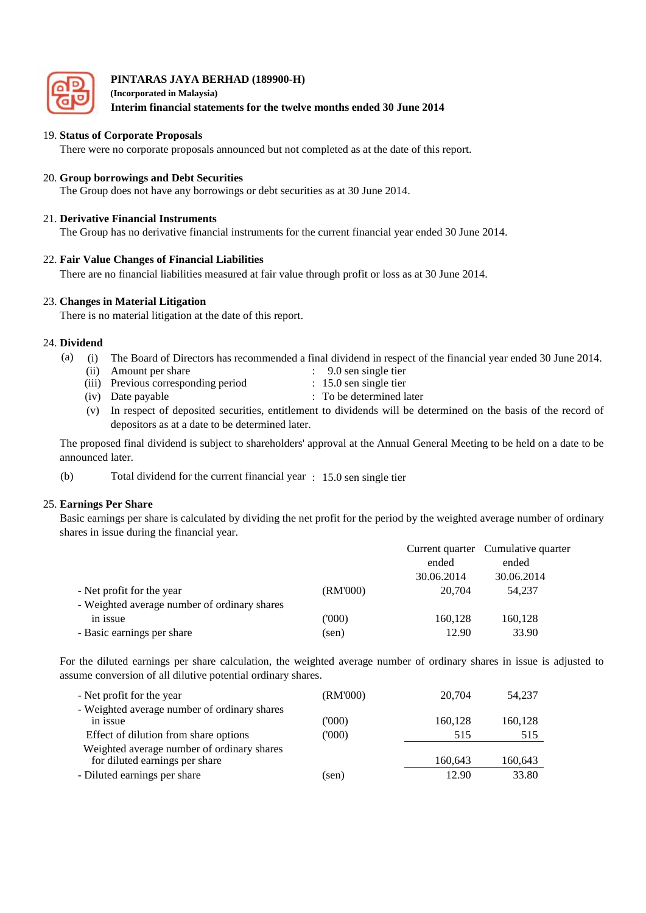

**(Incorporated in Malaysia) Interim financial statements for the twelve months ended 30 June 2014**

### 19. **Status of Corporate Proposals**

There were no corporate proposals announced but not completed as at the date of this report.

#### 20. **Group borrowings and Debt Securities**

The Group does not have any borrowings or debt securities as at 30 June 2014.

### 21. **Derivative Financial Instruments**

The Group has no derivative financial instruments for the current financial year ended 30 June 2014.

### 22. **Fair Value Changes of Financial Liabilities**

There are no financial liabilities measured at fair value through profit or loss as at 30 June 2014.

### 23. **Changes in Material Litigation**

There is no material litigation at the date of this report.

### 24. **Dividend**

- $(a)$ The Board of Directors has recommended a final dividend in respect of the financial year ended 30 June 2014.
	- (ii) Amount per share : 9.0 sen single tier
	- (iii) Previous corresponding period : 15.0 sen single tier
	- (iv) Date payable : To be determined later
	- (v) In respect of deposited securities, entitlement to dividends will be determined on the basis of the record of depositors as at a date to be determined later.

The proposed final dividend is subject to shareholders' approval at the Annual General Meeting to be held on a date to be announced later.

(b) Total dividend for the current financial year : 15.0 sen single tier

### 25. **Earnings Per Share**

Basic earnings per share is calculated by dividing the net profit for the period by the weighted average number of ordinary shares in issue during the financial year.

|                                              |          |            | Current quarter Cumulative quarter |
|----------------------------------------------|----------|------------|------------------------------------|
|                                              |          | ended      | ended                              |
|                                              |          | 30.06.2014 | 30.06.2014                         |
| - Net profit for the year                    | (RM'000) | 20,704     | 54.237                             |
| - Weighted average number of ordinary shares |          |            |                                    |
| in issue                                     | ('000)   | 160,128    | 160,128                            |
| - Basic earnings per share                   | (sen)    | 12.90      | 33.90                              |
|                                              |          |            |                                    |

For the diluted earnings per share calculation, the weighted average number of ordinary shares in issue is adjusted to assume conversion of all dilutive potential ordinary shares.

| - Net profit for the year                                                    | (RM'000) | 20,704  | 54.237  |
|------------------------------------------------------------------------------|----------|---------|---------|
| - Weighted average number of ordinary shares<br>in issue                     | ('000)   | 160,128 | 160,128 |
| Effect of dilution from share options                                        | (000)    | 515     | 515     |
| Weighted average number of ordinary shares<br>for diluted earnings per share |          | 160,643 | 160,643 |
| - Diluted earnings per share                                                 | (sen)    | 12.90   | 33.80   |